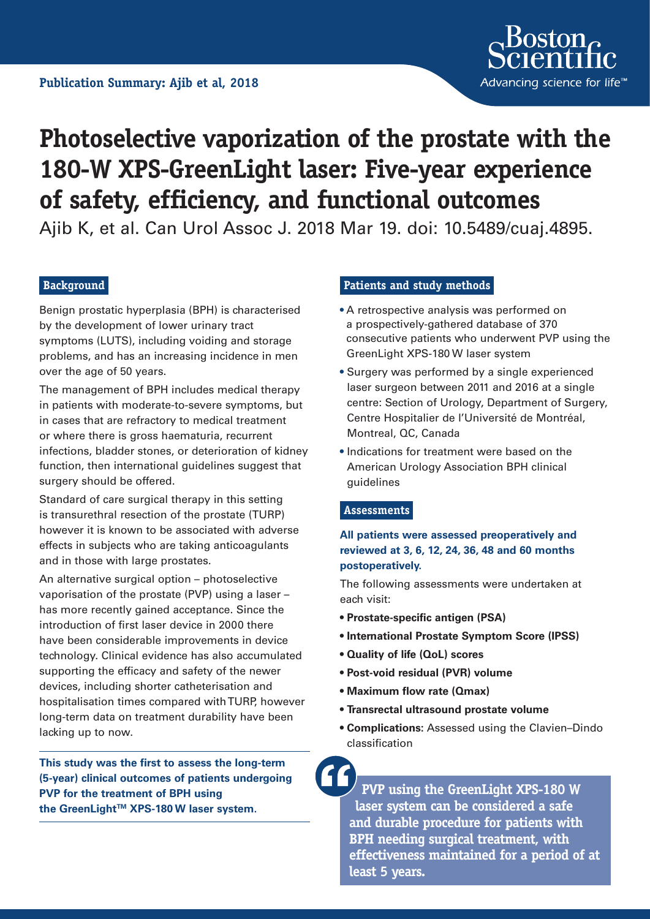

# **Photoselective vaporization of the prostate with the 180-W XPS-GreenLight laser: Five-year experience of safety, efficiency, and functional outcomes**

Ajib K, et al. Can Urol Assoc J. 2018 Mar 19. doi: 10.5489/cuaj.4895.

# **Background**

Benign prostatic hyperplasia (BPH) is characterised by the development of lower urinary tract symptoms (LUTS), including voiding and storage problems, and has an increasing incidence in men over the age of 50 years.

The management of BPH includes medical therapy in patients with moderate-to-severe symptoms, but in cases that are refractory to medical treatment or where there is gross haematuria, recurrent infections, bladder stones, or deterioration of kidney function, then international guidelines suggest that surgery should be offered.

Standard of care surgical therapy in this setting is transurethral resection of the prostate (TURP) however it is known to be associated with adverse effects in subjects who are taking anticoagulants and in those with large prostates.

An alternative surgical option – photoselective vaporisation of the prostate (PVP) using a laser – has more recently gained acceptance. Since the introduction of first laser device in 2000 there have been considerable improvements in device technology. Clinical evidence has also accumulated supporting the efficacy and safety of the newer devices, including shorter catheterisation and hospitalisation times compared with TURP, however long-term data on treatment durability have been lacking up to now.

**This study was the first to assess the long-term (5-year) clinical outcomes of patients undergoing PVP for the treatment of BPH using**  the GreenLight<sup>™</sup> XPS-180 W laser system.

### **Patients and study methods**

- A retrospective analysis was performed on a prospectively-gathered database of 370 consecutive patients who underwent PVP using the GreenLight XPS-180 W laser system
- **•** Surgery was performed by a single experienced laser surgeon between 2011 and 2016 at a single centre: Section of Urology, Department of Surgery, Centre Hospitalier de l'Université de Montréal, Montreal, QC, Canada
- **•** Indications for treatment were based on the American Urology Association BPH clinical guidelines

#### **Assessments**

**All patients were assessed preoperatively and reviewed at 3, 6, 12, 24, 36, 48 and 60 months postoperatively.** 

The following assessments were undertaken at each visit:

- **Prostate-specific antigen (PSA)**
- **International Prostate Symptom Score (IPSS)**
- **Quality of life (QoL) scores**
- **Post-void residual (PVR) volume**
- **Maximum flow rate (Qmax)**
- **Transrectal ultrasound prostate volume**
- **Complications:** Assessed using the Clavien–Dindo classification

**PVP using the GreenLight XPS-180 W laser system can be considered a safe and durable procedure for patients with BPH needing surgical treatment, with effectiveness maintained for a period of at least 5 years.**